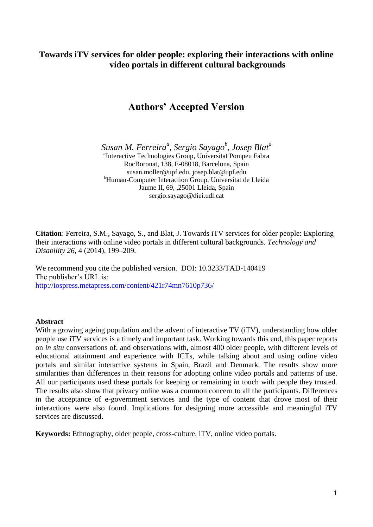## **Towards iTV services for older people: exploring their interactions with online video portals in different cultural backgrounds**

# **Authors' Accepted Version**

*Susan M. Ferreira<sup>a</sup> , Sergio Sayago<sup>b</sup> , Josep Blat<sup>a</sup>*

*a* Interactive Technologies Group, Universitat Pompeu Fabra RocBoronat, 138, E-08018, Barcelona, Spain susan.moller@upf.edu, josep.blat@upf.edu *<sup>b</sup>*Human-Computer Interaction Group, Universitat de Lleida Jaume II, 69, ,25001 Lleida, Spain sergio.sayago@diei.udl.cat

**Citation**: Ferreira, S.M., Sayago, S., and Blat, J. Towards iTV services for older people: Exploring their interactions with online video portals in different cultural backgrounds. *Technology and Disability 26*, 4 (2014), 199–209.

We recommend you cite the published version. DOI: 10.3233/TAD-140419 The publisher's URL is: <http://iospress.metapress.com/content/421r74mn7610p736/>

#### **Abstract**

With a growing ageing population and the advent of interactive TV (iTV), understanding how older people use iTV services is a timely and important task. Working towards this end, this paper reports on *in situ* conversations of, and observations with, almost 400 older people, with different levels of educational attainment and experience with ICTs, while talking about and using online video portals and similar interactive systems in Spain, Brazil and Denmark. The results show more similarities than differences in their reasons for adopting online video portals and patterns of use. All our participants used these portals for keeping or remaining in touch with people they trusted. The results also show that privacy online was a common concern to all the participants. Differences in the acceptance of e-government services and the type of content that drove most of their interactions were also found. Implications for designing more accessible and meaningful iTV services are discussed.

**Keywords:** Ethnography, older people, cross-culture, iTV, online video portals.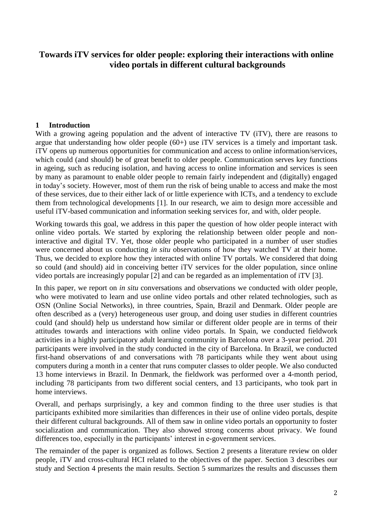## **Towards iTV services for older people: exploring their interactions with online video portals in different cultural backgrounds**

#### **1 Introduction**

With a growing ageing population and the advent of interactive TV (iTV), there are reasons to argue that understanding how older people (60+) use iTV services is a timely and important task. iTV opens up numerous opportunities for communication and access to online information/services, which could (and should) be of great benefit to older people. Communication serves key functions in ageing, such as reducing isolation, and having access to online information and services is seen by many as paramount to enable older people to remain fairly independent and (digitally) engaged in today's society. However, most of them run the risk of being unable to access and make the most of these services, due to their either lack of or little experience with ICTs, and a tendency to exclude them from technological developments [\[1\]](#page-9-0). In our research, we aim to design more accessible and useful iTV-based communication and information seeking services for, and with, older people.

Working towards this goal, we address in this paper the question of how older people interact with online video portals. We started by exploring the relationship between older people and noninteractive and digital TV. Yet, those older people who participated in a number of user studies were concerned about us conducting *in situ* observations of how they watched TV at their home. Thus, we decided to explore how they interacted with online TV portals. We considered that doing so could (and should) aid in conceiving better iTV services for the older population, since online video portals are increasingly popular [\[2\]](#page-9-1) and can be regarded as an implementation of iTV [\[3\]](#page-9-2).

In this paper, we report on *in situ* conversations and observations we conducted with older people, who were motivated to learn and use online video portals and other related technologies, such as OSN (Online Social Networks), in three countries, Spain, Brazil and Denmark. Older people are often described as a (very) heterogeneous user group, and doing user studies in different countries could (and should) help us understand how similar or different older people are in terms of their attitudes towards and interactions with online video portals. In Spain, we conducted fieldwork activities in a highly participatory adult learning community in Barcelona over a 3-year period. 201 participants were involved in the study conducted in the city of Barcelona. In Brazil, we conducted first-hand observations of and conversations with 78 participants while they went about using computers during a month in a center that runs computer classes to older people. We also conducted 13 home interviews in Brazil. In Denmark, the fieldwork was performed over a 4-month period, including 78 participants from two different social centers, and 13 participants, who took part in home interviews.

Overall, and perhaps surprisingly, a key and common finding to the three user studies is that participants exhibited more similarities than differences in their use of online video portals, despite their different cultural backgrounds. All of them saw in online video portals an opportunity to foster socialization and communication. They also showed strong concerns about privacy. We found differences too, especially in the participants' interest in e-government services.

The remainder of the paper is organized as follows. Section 2 presents a literature review on older people, iTV and cross-cultural HCI related to the objectives of the paper. Section 3 describes our study and Section 4 presents the main results. Section 5 summarizes the results and discusses them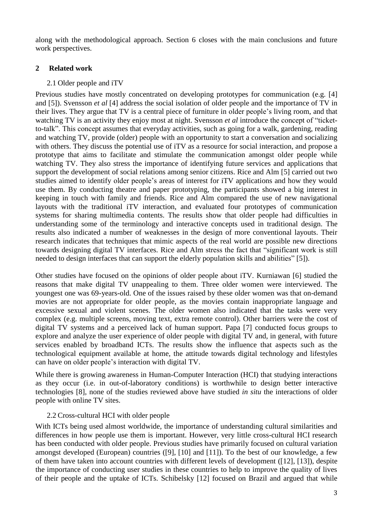along with the methodological approach. Section 6 closes with the main conclusions and future work perspectives.

#### **2 Related work**

#### 2.1 Older people and iTV

Previous studies have mostly concentrated on developing prototypes for communication (e.g. [\[4\]](#page-9-3) and [\[5\]](#page-9-4)). Svensson *et al* [\[4\]](#page-9-3) address the social isolation of older people and the importance of TV in their lives. They argue that TV is a central piece of furniture in older people's living room, and that watching TV is an activity they enjoy most at night. Svensson *et al* introduce the concept of "ticketto-talk". This concept assumes that everyday activities, such as going for a walk, gardening, reading and watching TV, provide (older) people with an opportunity to start a conversation and socializing with others. They discuss the potential use of iTV as a resource for social interaction, and propose a prototype that aims to facilitate and stimulate the communication amongst older people while watching TV. They also stress the importance of identifying future services and applications that support the development of social relations among senior citizens. Rice and Alm [\[5\]](#page-9-4) carried out two studies aimed to identify older people's areas of interest for iTV applications and how they would use them. By conducting theatre and paper prototyping, the participants showed a big interest in keeping in touch with family and friends. Rice and Alm compared the use of new navigational layouts with the traditional iTV interaction, and evaluated four prototypes of communication systems for sharing multimedia contents. The results show that older people had difficulties in understanding some of the terminology and interactive concepts used in traditional design. The results also indicated a number of weaknesses in the design of more conventional layouts. Their research indicates that techniques that mimic aspects of the real world are possible new directions towards designing digital TV interfaces. Rice and Alm stress the fact that "significant work is still needed to design interfaces that can support the elderly population skills and abilities" [\[5\]](#page-9-4)).

Other studies have focused on the opinions of older people about iTV. Kurniawan [\[6\]](#page-9-5) studied the reasons that make digital TV unappealing to them. Three older women were interviewed. The youngest one was 69-years-old. One of the issues raised by these older women was that on-demand movies are not appropriate for older people, as the movies contain inappropriate language and excessive sexual and violent scenes. The older women also indicated that the tasks were very complex (e.g. multiple screens, moving text, extra remote control). Other barriers were the cost of digital TV systems and a perceived lack of human support. Papa [\[7\]](#page-9-6) conducted focus groups to explore and analyze the user experience of older people with digital TV and, in general, with future services enabled by broadband ICTs. The results show the influence that aspects such as the technological equipment available at home, the attitude towards digital technology and lifestyles can have on older people's interaction with digital TV.

While there is growing awareness in Human-Computer Interaction (HCI) that studying interactions as they occur (i.e. in out-of-laboratory conditions) is worthwhile to design better interactive technologies [\[8\]](#page-9-7), none of the studies reviewed above have studied *in situ* the interactions of older people with online TV sites.

#### 2.2 Cross-cultural HCI with older people

With ICTs being used almost worldwide, the importance of understanding cultural similarities and differences in how people use them is important. However, very little cross-cultural HCI research has been conducted with older people. Previous studies have primarily focused on cultural variation amongst developed (European) countries ([\[9\]](#page-9-8), [\[10\]](#page-9-9) and [\[11\]](#page-9-10)). To the best of our knowledge, a few of them have taken into account countries with different levels of development ([\[12\]](#page-9-11), [\[13\]](#page-9-12)), despite the importance of conducting user studies in these countries to help to improve the quality of lives of their people and the uptake of ICTs. Schibelsky [\[12\]](#page-9-11) focused on Brazil and argued that while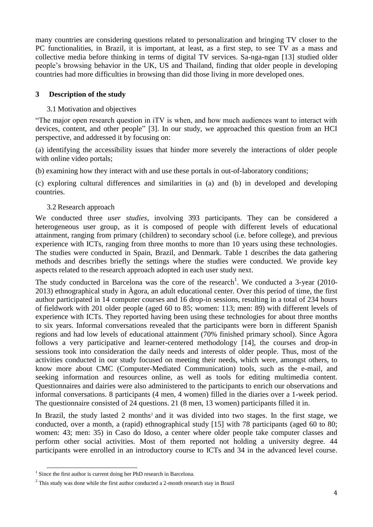many countries are considering questions related to personalization and bringing TV closer to the PC functionalities, in Brazil, it is important, at least, as a first step, to see TV as a mass and collective media before thinking in terms of digital TV services. Sa-nga-ngan [\[13\]](#page-9-12) studied older people's browsing behavior in the UK, US and Thailand, finding that older people in developing countries had more difficulties in browsing than did those living in more developed ones.

## **3 Description of the study**

#### 3.1 Motivation and objectives

"The major open research question in iTV is when, and how much audiences want to interact with devices, content, and other people" [\[3\]](#page-9-2). In our study, we approached this question from an HCI perspective, and addressed it by focusing on:

(a) identifying the accessibility issues that hinder more severely the interactions of older people with online video portals;

(b) examining how they interact with and use these portals in out-of-laboratory conditions;

(c) exploring cultural differences and similarities in (a) and (b) in developed and developing countries.

#### 3.2 Research approach

We conducted three *user studies*, involving 393 participants. They can be considered a heterogeneous user group, as it is composed of people with different levels of educational attainment, ranging from primary (children) to secondary school (i.e. before college), and previous experience with ICTs, ranging from three months to more than 10 years using these technologies. The studies were conducted in Spain, Brazil, and Denmark. Table 1 describes the data gathering methods and describes briefly the settings where the studies were conducted. We provide key aspects related to the research approach adopted in each user study next.

The study conducted in Barcelona was the core of the research<sup>1</sup>. We conducted a 3-year (2010-2013) ethnographical study in Àgora, an adult educational center. Over this period of time, the first author participated in 14 computer courses and 16 drop-in sessions, resulting in a total of 234 hours of fieldwork with 201 older people (aged 60 to 85; women: 113; men: 89) with different levels of experience with ICTs. They reported having been using these technologies for about three months to six years. Informal conversations revealed that the participants were born in different Spanish regions and had low levels of educational attainment (70% finished primary school). Since Àgora follows a very participative and learner-centered methodology [\[14\]](#page-10-0), the courses and drop-in sessions took into consideration the daily needs and interests of older people. Thus, most of the activities conducted in our study focused on meeting their needs, which were, amongst others, to know more about CMC (Computer-Mediated Communication) tools, such as the e-mail, and seeking information and resources online, as well as tools for editing multimedia content. Questionnaires and dairies were also administered to the participants to enrich our observations and informal conversations. 8 participants (4 men, 4 women) filled in the diaries over a 1-week period. The questionnaire consisted of 24 questions. 21 (8 men, 13 women) participants filled it in.

In Brazil, the study lasted 2 months<sup>2</sup> and it was divided into two stages. In the first stage, we conducted, over a month, a (rapid) ethnographical study [\[15\]](#page-10-1) with 78 participants (aged 60 to 80; women: 43; men: 35) in Caso do Idoso, a center where older people take computer classes and perform other social activities. Most of them reported not holding a university degree. 44 participants were enrolled in an introductory course to ICTs and 34 in the advanced level course.

 $\overline{a}$ 

<sup>&</sup>lt;sup>1</sup> Since the first author is current doing her PhD research in Barcelona.

<sup>&</sup>lt;sup>2</sup> This study was done while the first author conducted a 2-month research stay in Brazil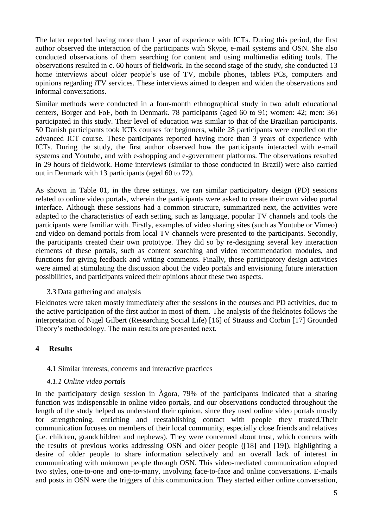The latter reported having more than 1 year of experience with ICTs. During this period, the first author observed the interaction of the participants with Skype, e-mail systems and OSN. She also conducted observations of them searching for content and using multimedia editing tools. The observations resulted in c. 60 hours of fieldwork. In the second stage of the study, she conducted 13 home interviews about older people's use of TV, mobile phones, tablets PCs, computers and opinions regarding iTV services. These interviews aimed to deepen and widen the observations and informal conversations.

Similar methods were conducted in a four-month ethnographical study in two adult educational centers, Borger and FoF, both in Denmark. 78 participants (aged 60 to 91; women: 42; men: 36) participated in this study. Their level of education was similar to that of the Brazilian participants. 50 Danish participants took ICTs courses for beginners, while 28 participants were enrolled on the advanced ICT course. These participants reported having more than 3 years of experience with ICTs. During the study, the first author observed how the participants interacted with e-mail systems and Youtube, and with e-shopping and e-government platforms. The observations resulted in 29 hours of fieldwork. Home interviews (similar to those conducted in Brazil) were also carried out in Denmark with 13 participants (aged 60 to 72).

As shown in Table 01, in the three settings, we ran similar participatory design (PD) sessions related to online video portals, wherein the participants were asked to create their own video portal interface. Although these sessions had a common structure, summarized next, the activities were adapted to the characteristics of each setting, such as language, popular TV channels and tools the participants were familiar with. Firstly, examples of video sharing sites (such as Youtube or Vimeo) and video on demand portals from local TV channels were presented to the participants. Secondly, the participants created their own prototype. They did so by re-designing several key interaction elements of these portals, such as content searching and video recommendation modules, and functions for giving feedback and writing comments. Finally, these participatory design activities were aimed at stimulating the discussion about the video portals and envisioning future interaction possibilities, and participants voiced their opinions about these two aspects.

#### 3.3 Data gathering and analysis

Fieldnotes were taken mostly immediately after the sessions in the courses and PD activities, due to the active participation of the first author in most of them. The analysis of the fieldnotes follows the interpretation of Nigel Gilbert (Researching Social Life) [\[16\]](#page-10-2) of Strauss and Corbin [\[17\]](#page-10-3) Grounded Theory's methodology. The main results are presented next.

## **4 Results**

#### 4.1 Similar interests, concerns and interactive practices

#### *4.1.1 Online video portals*

In the participatory design session in Àgora, 79% of the participants indicated that a sharing function was indispensable in online video portals, and our observations conducted throughout the length of the study helped us understand their opinion, since they used online video portals mostly for strengthening, enriching and reestablishing contact with people they trusted.Their communication focuses on members of their local community, especially close friends and relatives (i.e. children, grandchildren and nephews). They were concerned about trust, which concurs with the results of previous works addressing OSN and older people ([\[18\]](#page-10-4) and [\[19\]](#page-10-5)), highlighting a desire of older people to share information selectively and an overall lack of interest in communicating with unknown people through OSN. This video-mediated communication adopted two styles, one-to-one and one-to-many, involving face-to-face and online conversations. E-mails and posts in OSN were the triggers of this communication. They started either online conversation,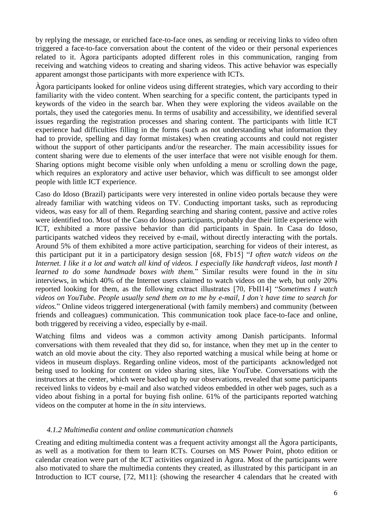by replying the message, or enriched face-to-face ones, as sending or receiving links to video often triggered a face-to-face conversation about the content of the video or their personal experiences related to it. Àgora participants adopted different roles in this communication, ranging from receiving and watching videos to creating and sharing videos. This active behavior was especially apparent amongst those participants with more experience with ICTs.

Àgora participants looked for online videos using different strategies, which vary according to their familiarity with the video content. When searching for a specific content, the participants typed in keywords of the video in the search bar. When they were exploring the videos available on the portals, they used the categories menu. In terms of usability and accessibility, we identified several issues regarding the registration processes and sharing content. The participants with little ICT experience had difficulties filling in the forms (such as not understanding what information they had to provide, spelling and day format mistakes) when creating accounts and could not register without the support of other participants and/or the researcher. The main accessibility issues for content sharing were due to elements of the user interface that were not visible enough for them. Sharing options might become visible only when unfolding a menu or scrolling down the page, which requires an exploratory and active user behavior, which was difficult to see amongst older people with little ICT experience.

Caso do Idoso (Brazil) participants were very interested in online video portals because they were already familiar with watching videos on TV. Conducting important tasks, such as reproducing videos, was easy for all of them. Regarding searching and sharing content, passive and active roles were identified too. Most of the Caso do Idoso participants, probably due their little experience with ICT, exhibited a more passive behavior than did participants in Spain. In Casa do Idoso, participants watched videos they received by e-mail, without directly interacting with the portals. Around 5% of them exhibited a more active participation, searching for videos of their interest, as this participant put it in a participatory design session [68, Fb15] "*I often watch videos on the Internet. I like it a lot and watch all kind of videos. I especially like handcraft videos, last month I learned to do some handmade boxes with them.*" Similar results were found in the *in situ* interviews, in which 40% of the Internet users claimed to watch videos on the web, but only 20% reported looking for them, as the following extract illustrates [70, FbII14] "*Sometimes I watch videos on YouTube. People usually send them on to me by e-mail, I don't have time to search for videos.*" Online videos triggered intergenerational (with family members) and community (between friends and colleagues) communication. This communication took place face-to-face and online, both triggered by receiving a video, especially by e-mail.

Watching films and videos was a common activity among Danish participants. Informal conversations with them revealed that they did so, for instance, when they met up in the center to watch an old movie about the city. They also reported watching a musical while being at home or videos in museum displays. Regarding online videos, most of the participants acknowledged not being used to looking for content on video sharing sites, like YouTube. Conversations with the instructors at the center, which were backed up by our observations, revealed that some participants received links to videos by e-mail and also watched videos embedded in other web pages, such as a video about fishing in a portal for buying fish online. 61% of the participants reported watching videos on the computer at home in the *in situ* interviews.

#### *4.1.2 Multimedia content and online communication channels*

Creating and editing multimedia content was a frequent activity amongst all the Àgora participants, as well as a motivation for them to learn ICTs. Courses on MS Power Point, photo edition or calendar creation were part of the ICT activities organized in Àgora. Most of the participants were also motivated to share the multimedia contents they created, as illustrated by this participant in an Introduction to ICT course, [72, M11]: (showing the researcher 4 calendars that he created with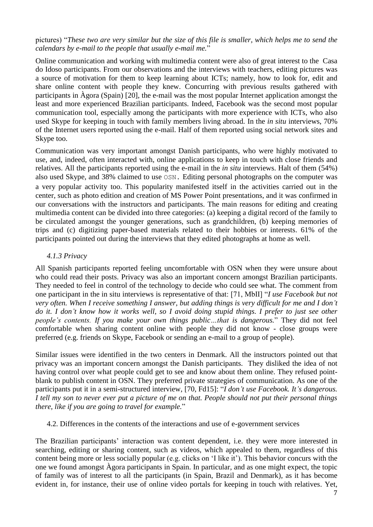#### pictures) "*These two are very similar but the size of this file is smaller, which helps me to send the calendars by e-mail to the people that usually e-mail me.*"

Online communication and working with multimedia content were also of great interest to the Casa do Idoso participants. From our observations and the interviews with teachers, editing pictures was a source of motivation for them to keep learning about ICTs; namely, how to look for, edit and share online content with people they knew. Concurring with previous results gathered with participants in Àgora (Spain) [\[20\]](#page-10-6), the e-mail was the most popular Internet application amongst the least and more experienced Brazilian participants. Indeed, Facebook was the second most popular communication tool, especially among the participants with more experience with ICTs, who also used Skype for keeping in touch with family members living abroad. In the *in situ* interviews, 70% of the Internet users reported using the e-mail. Half of them reported using social network sites and Skype too.

Communication was very important amongst Danish participants, who were highly motivated to use, and, indeed, often interacted with, online applications to keep in touch with close friends and relatives. All the participants reported using the e-mail in the *in situ* interviews. Halt of them (54%) also used Skype, and 38% claimed to use OSN. Editing personal photographs on the computer was a very popular activity too. This popularity manifested itself in the activities carried out in the center, such as photo edition and creation of MS Power Point presentations, and it was confirmed in our conversations with the instructors and participants. The main reasons for editing and creating multimedia content can be divided into three categories: (a) keeping a digital record of the family to be circulated amongst the younger generations, such as grandchildren, (b) keeping memories of trips and (c) digitizing paper-based materials related to their hobbies or interests. 61% of the participants pointed out during the interviews that they edited photographs at home as well.

## *4.1.3 Privacy*

All Spanish participants reported feeling uncomfortable with OSN when they were unsure about who could read their posts. Privacy was also an important concern amongst Brazilian participants. They needed to feel in control of the technology to decide who could see what. The comment from one participant in the in situ interviews is representative of that: [71, MbII] "*I use Facebook but not very often. When I receive something I answer, but adding things is very difficult for me and I don't do it. I don't know how it works well, so I avoid doing stupid things. I prefer to just see other people's contents. If you make your own things public…that is dangerous.*" They did not feel comfortable when sharing content online with people they did not know - close groups were preferred (e.g. friends on Skype, Facebook or sending an e-mail to a group of people).

Similar issues were identified in the two centers in Denmark. All the instructors pointed out that privacy was an important concern amongst the Danish participants. They disliked the idea of not having control over what people could get to see and know about them online. They refused pointblank to publish content in OSN. They preferred private strategies of communication. As one of the participants put it in a semi-structured interview, [70, Fd15]: "*I don't use Facebook. It's dangerous. I tell my son to never ever put a picture of me on that. People should not put their personal things there, like if you are going to travel for example.*"

4.2. Differences in the contents of the interactions and use of e-government services

The Brazilian participants' interaction was content dependent, i.e. they were more interested in searching, editing or sharing content, such as videos, which appealed to them, regardless of this content being more or less socially popular (e.g. clicks on 'I like it'). This behavior concurs with the one we found amongst Àgora participants in Spain. In particular, and as one might expect, the topic of family was of interest to all the participants (in Spain, Brazil and Denmark), as it has become evident in, for instance, their use of online video portals for keeping in touch with relatives. Yet,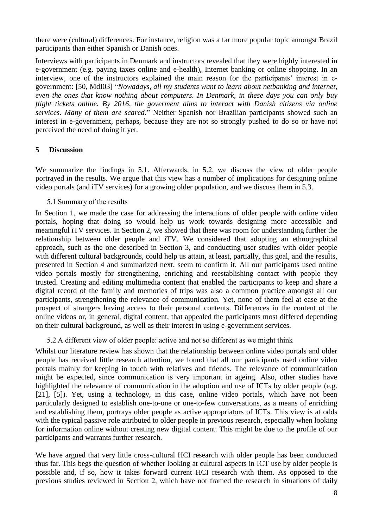there were (cultural) differences. For instance, religion was a far more popular topic amongst Brazil participants than either Spanish or Danish ones.

Interviews with participants in Denmark and instructors revealed that they were highly interested in e-government (e.g. paying taxes online and e-health), Internet banking or online shopping. In an interview, one of the instructors explained the main reason for the participants' interest in egovernment: [50, MdI03] "*Nowadays, all my students want to learn about netbanking and internet, even the ones that know nothing about computers. In Denmark, in these days you can only buy flight tickets online. By 2016, the goverment aims to interact with Danish citizens via online services. Many of them are scared*." Neither Spanish nor Brazilian participants showed such an interest in e-government, perhaps, because they are not so strongly pushed to do so or have not perceived the need of doing it yet.

## **5 Discussion**

We summarize the findings in 5.1. Afterwards, in 5.2, we discuss the view of older people portrayed in the results. We argue that this view has a number of implications for designing online video portals (and iTV services) for a growing older population, and we discuss them in 5.3.

#### 5.1 Summary of the results

In Section 1, we made the case for addressing the interactions of older people with online video portals, hoping that doing so would help us work towards designing more accessible and meaningful iTV services. In Section 2, we showed that there was room for understanding further the relationship between older people and iTV. We considered that adopting an ethnographical approach, such as the one described in Section 3, and conducting user studies with older people with different cultural backgrounds, could help us attain, at least, partially, this goal, and the results, presented in Section 4 and summarized next, seem to confirm it. All our participants used online video portals mostly for strengthening, enriching and reestablishing contact with people they trusted. Creating and editing multimedia content that enabled the participants to keep and share a digital record of the family and memories of trips was also a common practice amongst all our participants, strengthening the relevance of communication. Yet, none of them feel at ease at the prospect of strangers having access to their personal contents. Differences in the content of the online videos or, in general, digital content, that appealed the participants most differed depending on their cultural background, as well as their interest in using e-government services.

## 5.2 A different view of older people: active and not so different as we might think

Whilst our literature review has shown that the relationship between online video portals and older people has received little research attention, we found that all our participants used online video portals mainly for keeping in touch with relatives and friends. The relevance of communication might be expected, since communication is very important in ageing. Also, other studies have highlighted the relevance of communication in the adoption and use of ICTs by older people (e.g. [\[21\]](#page-10-7), [\[5\]](#page-9-4)). Yet, using a technology, in this case, online video portals, which have not been particularly designed to establish one-to-one or one-to-few conversations, as a means of enriching and establishing them, portrays older people as active appropriators of ICTs. This view is at odds with the typical passive role attributed to older people in previous research, especially when looking for information online without creating new digital content. This might be due to the profile of our participants and warrants further research.

We have argued that very little cross-cultural HCI research with older people has been conducted thus far. This begs the question of whether looking at cultural aspects in ICT use by older people is possible and, if so, how it takes forward current HCI research with them. As opposed to the previous studies reviewed in Section 2, which have not framed the research in situations of daily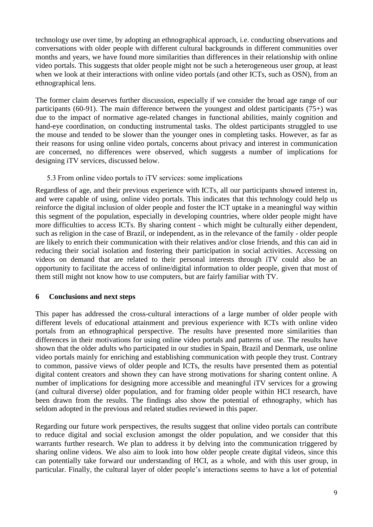technology use over time, by adopting an ethnographical approach, i.e. conducting observations and conversations with older people with different cultural backgrounds in different communities over months and years, we have found more similarities than differences in their relationship with online video portals. This suggests that older people might not be such a heterogeneous user group, at least when we look at their interactions with online video portals (and other ICTs, such as OSN), from an ethnographical lens.

The former claim deserves further discussion, especially if we consider the broad age range of our participants (60-91). The main difference between the youngest and oldest participants (75+) was due to the impact of normative age-related changes in functional abilities, mainly cognition and hand-eye coordination, on conducting instrumental tasks. The oldest participants struggled to use the mouse and tended to be slower than the younger ones in completing tasks. However, as far as their reasons for using online video portals, concerns about privacy and interest in communication are concerned, no differences were observed, which suggests a number of implications for designing iTV services, discussed below.

## 5.3 From online video portals to iTV services: some implications

Regardless of age, and their previous experience with ICTs, all our participants showed interest in, and were capable of using, online video portals. This indicates that this technology could help us reinforce the digital inclusion of older people and foster the ICT uptake in a meaningful way within this segment of the population, especially in developing countries, where older people might have more difficulties to access ICTs. By sharing content - which might be culturally either dependent, such as religion in the case of Brazil, or independent, as in the relevance of the family - older people are likely to enrich their communication with their relatives and/or close friends, and this can aid in reducing their social isolation and fostering their participation in social activities. Accessing on videos on demand that are related to their personal interests through iTV could also be an opportunity to facilitate the access of online/digital information to older people, given that most of them still might not know how to use computers, but are fairly familiar with TV.

## **6 Conclusions and next steps**

This paper has addressed the cross-cultural interactions of a large number of older people with different levels of educational attainment and previous experience with ICTs with online video portals from an ethnographical perspective. The results have presented more similarities than differences in their motivations for using online video portals and patterns of use. The results have shown that the older adults who participated in our studies in Spain, Brazil and Denmark, use online video portals mainly for enriching and establishing communication with people they trust. Contrary to common, passive views of older people and ICTs, the results have presented them as potential digital content creators and shown they can have strong motivations for sharing content online. A number of implications for designing more accessible and meaningful iTV services for a growing (and cultural diverse) older population, and for framing older people within HCI research, have been drawn from the results. The findings also show the potential of ethnography, which has seldom adopted in the previous and related studies reviewed in this paper.

Regarding our future work perspectives, the results suggest that online video portals can contribute to reduce digital and social exclusion amongst the older population, and we consider that this warrants further research. We plan to address it by delving into the communication triggered by sharing online videos. We also aim to look into how older people create digital videos, since this can potentially take forward our understanding of HCI, as a whole, and with this user group, in particular. Finally, the cultural layer of older people's interactions seems to have a lot of potential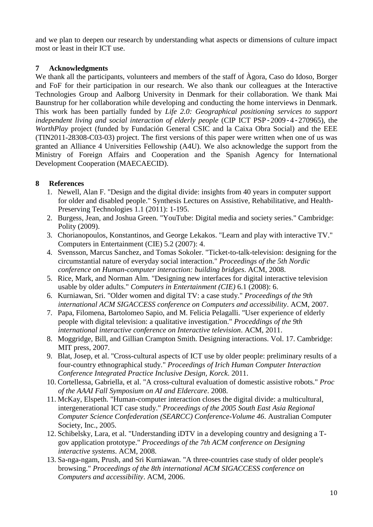and we plan to deepen our research by understanding what aspects or dimensions of culture impact most or least in their ICT use.

## **7 Acknowledgments**

We thank all the participants, volunteers and members of the staff of Agora, Caso do Idoso, Borger and FoF for their participation in our research. We also thank our colleagues at the Interactive Technologies Group and Aalborg University in Denmark for their collaboration. We thank Mai Baunstrup for her collaboration while developing and conducting the home interviews in Denmark. This work has been partially funded by *Life 2.0: Geographical positioning services to support independent living and social interaction of elderly people* (CIP ICT PSP‐2009‐4‐270965), the *WorthPlay* project (funded by Fundación General CSIC and la Caixa Obra Social) and the EEE (TIN2011-28308-C03-03) project. The first versions of this paper were written when one of us was granted an Alliance 4 Universities Fellowship (A4U). We also acknowledge the support from the Ministry of Foreign Affairs and Cooperation and the Spanish Agency for International Development Cooperation (MAECAECID).

## <span id="page-9-0"></span>**8 References**

- 1. Newell, Alan F. "Design and the digital divide: insights from 40 years in computer support for older and disabled people." Synthesis Lectures on Assistive, Rehabilitative, and Health-Preserving Technologies 1.1 (2011): 1-195.
- <span id="page-9-1"></span>2. Burgess, Jean, and Joshua Green. "YouTube: Digital media and society series." Cambridge: Polity (2009).
- <span id="page-9-2"></span>3. Chorianopoulos, Konstantinos, and George Lekakos. "Learn and play with interactive TV." Computers in Entertainment (CIE) 5.2 (2007): 4.
- <span id="page-9-3"></span>4. Svensson, Marcus Sanchez, and Tomas Sokoler. "Ticket-to-talk-television: designing for the circumstantial nature of everyday social interaction." *Proceedings of the 5th Nordic conference on Human-computer interaction: building bridges*. ACM, 2008.
- <span id="page-9-4"></span>5. Rice, Mark, and Norman Alm. "Designing new interfaces for digital interactive television usable by older adults." *Computers in Entertainment (CIE)* 6.1 (2008): 6.
- <span id="page-9-5"></span>6. Kurniawan, Sri. "Older women and digital TV: a case study." *Proceedings of the 9th international ACM SIGACCESS conference on Computers and accessibility*. ACM, 2007.
- <span id="page-9-6"></span>7. Papa, Filomena, Bartolomeo Sapio, and M. Felicia Pelagalli. "User experience of elderly people with digital television: a qualitative investigation." *Proceddings of the 9th international interactive conference on Interactive television*. ACM, 2011.
- <span id="page-9-7"></span>8. Moggridge, Bill, and Gillian Crampton Smith. Designing interactions. Vol. 17. Cambridge: MIT press, 2007.
- <span id="page-9-8"></span>9. Blat, Josep, et al. "Cross-cultural aspects of ICT use by older people: preliminary results of a four-country ethnographical study." *Proceedings of Irich Human Computer Interaction Conference Integrated Practice Inclusive Design, Korck*. 2011.
- <span id="page-9-9"></span>10. Cortellessa, Gabriella, et al. "A cross-cultural evaluation of domestic assistive robots." *Proc of the AAAI Fall Symposium on AI and Eldercare*. 2008.
- <span id="page-9-10"></span>11. McKay, Elspeth. "Human-computer interaction closes the digital divide: a multicultural, intergenerational ICT case study." *Proceedings of the 2005 South East Asia Regional Computer Science Confederation (SEARCC) Conference-Volume 46*. Australian Computer Society, Inc., 2005.
- <span id="page-9-11"></span>12. Schibelsky, Lara, et al. "Understanding iDTV in a developing country and designing a Tgov application prototype." *Proceedings of the 7th ACM conference on Designing interactive systems*. ACM, 2008.
- <span id="page-9-12"></span>13. Sa-nga-ngam, Prush, and Sri Kurniawan. "A three-countries case study of older people's browsing." *Proceedings of the 8th international ACM SIGACCESS conference on Computers and accessibility*. ACM, 2006.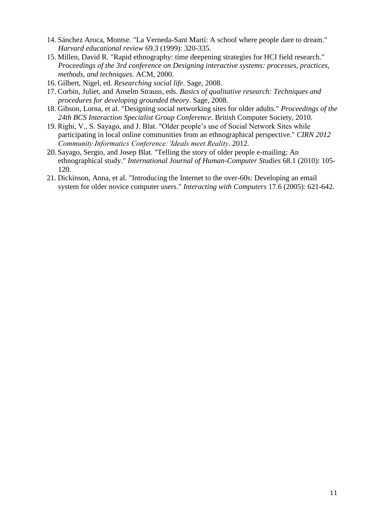- <span id="page-10-0"></span>14. Sánchez Aroca, Montse. "La Verneda-Sant Martí: A school where people dare to dream." *Harvard educational review* 69.3 (1999): 320-335.
- <span id="page-10-1"></span>15. Millen, David R. "Rapid ethnography: time deepening strategies for HCI field research." *Proceedings of the 3rd conference on Designing interactive systems: processes, practices, methods, and techniques*. ACM, 2000.
- <span id="page-10-2"></span>16. Gilbert, Nigel, ed. *Researching social life*. Sage, 2008.
- <span id="page-10-3"></span>17. Corbin, Juliet, and Anselm Strauss, eds. *Basics of qualitative research: Techniques and procedures for developing grounded theory*. Sage, 2008.
- <span id="page-10-4"></span>18. Gibson, Lorna, et al. "Designing social networking sites for older adults." *Proceedings of the 24th BCS Interaction Specialist Group Conference*. British Computer Society, 2010.
- <span id="page-10-5"></span>19. Righi, V., S. Sayago, and J. Blat. "Older people's use of Social Network Sites while participating in local online communities from an ethnographical perspective." *CIRN 2012 Community Informatics Conference:'Ideals meet Reality*. 2012.
- <span id="page-10-6"></span>20. Sayago, Sergio, and Josep Blat. "Telling the story of older people e-mailing: An ethnographical study." *International Journal of Human-Computer Studies* 68.1 (2010): 105- 120.
- <span id="page-10-7"></span>21. Dickinson, Anna, et al. "Introducing the Internet to the over-60s: Developing an email system for older novice computer users." *Interacting with Computers* 17.6 (2005): 621-642.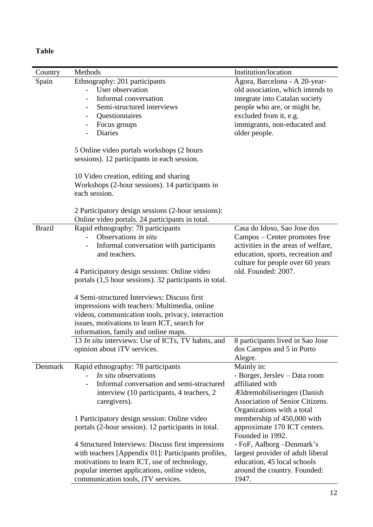| ۰.<br>۰.<br>×<br>×<br>e v<br>۰.<br>۰, |
|---------------------------------------|
|---------------------------------------|

| Country       | Methods                                                                                               | Institution/location                             |
|---------------|-------------------------------------------------------------------------------------------------------|--------------------------------------------------|
| Spain         | Ethnography: 201 participants                                                                         | Àgora, Barcelona - A 20-year-                    |
|               | User observation                                                                                      | old association, which intends to                |
|               | Informal conversation                                                                                 | integrate into Catalan society                   |
|               | Semi-structured interviews                                                                            | people who are, or might be,                     |
|               | Questionnaires                                                                                        | excluded from it, e.g.                           |
|               | Focus groups<br>$\blacksquare$                                                                        | immigrants, non-educated and                     |
|               | <b>Diaries</b>                                                                                        | older people.                                    |
|               | 5 Online video portals workshops (2 hours                                                             |                                                  |
|               | sessions). 12 participants in each session.                                                           |                                                  |
|               |                                                                                                       |                                                  |
|               | 10 Video creation, editing and sharing                                                                |                                                  |
|               | Workshops (2-hour sessions). 14 participants in                                                       |                                                  |
|               | each session.                                                                                         |                                                  |
|               |                                                                                                       |                                                  |
|               | 2 Participatory design sessions (2-hour sessions):<br>Online video portals. 24 participants in total. |                                                  |
| <b>Brazil</b> | Rapid ethnography: 78 participants                                                                    | Casa do Idoso, Sao Jose dos                      |
|               | Observations in situ                                                                                  | Campos – Center promotes free                    |
|               | Informal conversation with participants                                                               | activities in the areas of welfare,              |
|               | and teachers.                                                                                         | education, sports, recreation and                |
|               |                                                                                                       | culture for people over 60 years                 |
|               | 4 Participatory design sessions: Online video                                                         | old. Founded: 2007.                              |
|               | portals (1,5 hour sessions). 32 participants in total.                                                |                                                  |
|               | 4 Semi-structured Interviews: Discuss first                                                           |                                                  |
|               | impressions with teachers: Multimedia, online                                                         |                                                  |
|               | videos, communication tools, privacy, interaction                                                     |                                                  |
|               | issues, motivations to learn ICT, search for                                                          |                                                  |
|               | information, family and online maps.                                                                  |                                                  |
|               | 13 In situ interviews: Use of ICTs, TV habits, and                                                    | 8 participants lived in Sao Jose                 |
|               | opinion about iTV services.                                                                           | dos Campos and 5 in Porto                        |
|               |                                                                                                       | Alegre.                                          |
| Denmark       | Rapid ethnography: 78 participants<br>In situ observations                                            | Mainly in:                                       |
|               | Informal conversation and semi-structured                                                             | - Borger, Jerslev - Data room<br>affiliated with |
|               | interview (10 participants, 4 teachers, 2                                                             | Ældremobiliseringen (Danish                      |
|               | caregivers).                                                                                          | Association of Senior Citizens.                  |
|               |                                                                                                       | Organizations with a total                       |
|               | 1 Participatory design session: Online video                                                          | membership of 450,000 with                       |
|               | portals (2-hour session). 12 participants in total.                                                   | approximate 170 ICT centers.                     |
|               |                                                                                                       | Founded in 1992.                                 |
|               | 4 Structured Interviews: Discuss first impressions                                                    | - FoF, Aalborg - Denmark's                       |
|               | with teachers [Appendix 01]: Participants profiles,                                                   | largest provider of adult liberal                |
|               | motivations to learn ICT, use of technology,                                                          | education, 45 local schools                      |
|               | popular internet applications, online videos,                                                         | around the country. Founded:                     |
|               | communication tools, iTV services.                                                                    | 1947.                                            |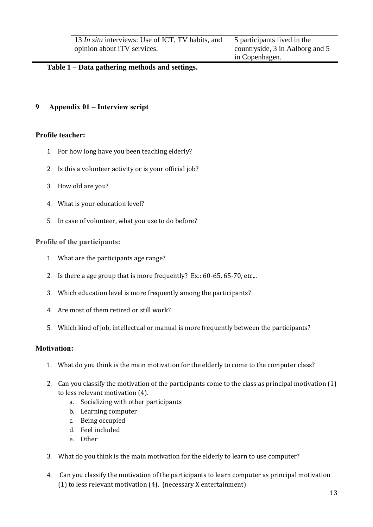## **Table 1 – Data gathering methods and settings.**

#### **9 Appendix 01 – Interview script**

#### **Profile teacher:**

- 1. For how long have you been teaching elderly?
- 2. Is this a volunteer activity or is your official job?
- 3. How old are you?
- 4. What is your education level?
- 5. In case of volunteer, what you use to do before?

#### **Profile of the participants:**

- 1. What are the participants age range?
- 2. Is there a age group that is more frequently? Ex.: 60-65, 65-70, etc...
- 3. Which education level is more frequently among the participants?
- 4. Are most of them retired or still work?
- 5. Which kind of job, intellectual or manual is more frequently between the participants?

#### **Motivation:**

- 1. What do you think is the main motivation for the elderly to come to the computer class?
- 2. Can you classify the motivation of the participants come to the class as principal motivation (1) to less relevant motivation (4).
	- a. Socializing with other participants
	- b. Learning computer
	- c. Being occupied
	- d. Feel included
	- e. Other
- 3. What do you think is the main motivation for the elderly to learn to use computer?
- 4. Can you classify the motivation of the participants to learn computer as principal motivation (1) to less relevant motivation (4). (necessary X entertainment)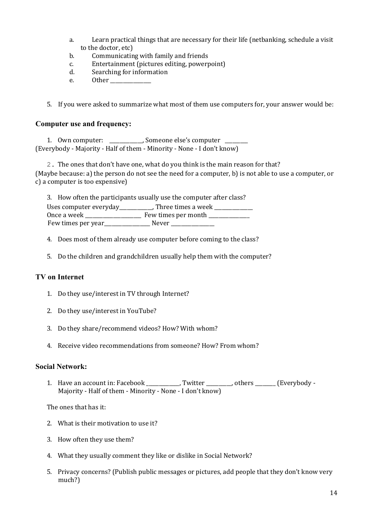- a. Learn practical things that are necessary for their life (netbanking, schedule a visit to the doctor, etc)
- b. Communicating with family and friends
- c. Entertainment (pictures editing, powerpoint)
- d. Searching for information
- e. Other

5. If you were asked to summarize what most of them use computers for, your answer would be:

#### **Computer use and frequency:**

1. Own computer: \_\_\_\_\_\_\_\_\_\_\_\_\_, Someone else's computer \_\_\_\_\_\_\_\_\_ (Everybody - Majority - Half of them - Minority - None - I don't know)

2. The ones that don't have one, what do you think is the main reason for that? (Maybe because: a) the person do not see the need for a computer, b) is not able to use a computer, or c) a computer is too expensive)

3. How often the participants usually use the computer after class? Uses computer everyday\_\_\_\_\_\_\_\_\_\_, Three times a week \_\_\_\_\_\_\_\_\_ Once a week \_\_\_\_\_\_\_\_\_\_\_\_\_\_\_\_\_\_\_\_\_\_ Few times per month \_\_\_\_\_\_\_\_\_\_\_\_\_\_\_\_ Few times per year\_\_\_\_\_\_\_\_\_\_\_\_\_\_\_\_\_\_ Never \_\_\_\_\_\_\_\_\_\_\_\_\_\_\_\_\_

- 4. Does most of them already use computer before coming to the class?
- 5. Do the children and grandchildren usually help them with the computer?

#### **TV on Internet**

- 1. Do they use/interest in TV through Internet?
- 2. Do they use/interest in YouTube?
- 3. Do they share/recommend videos? How? With whom?
- 4. Receive video recommendations from someone? How? From whom?

#### **Social Network:**

1. Have an account in: Facebook \_\_\_\_\_\_\_\_\_\_\_, Twitter \_\_\_\_\_\_\_\_, others \_\_\_\_\_\_\_ (Everybody -Majority - Half of them - Minority - None - I don't know)

The ones that has it:

- 2. What is their motivation to use it?
- 3. How often they use them?
- 4. What they usually comment they like or dislike in Social Network?
- 5. Privacy concerns? (Publish public messages or pictures, add people that they don't know very much?)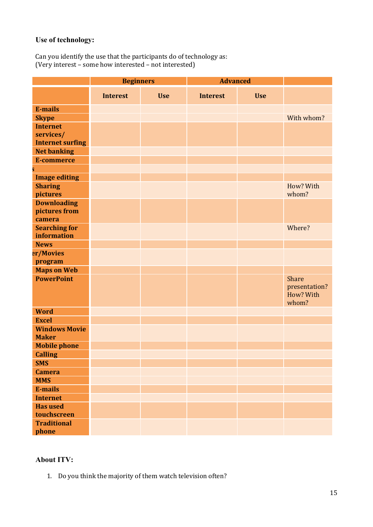## **Use of technology:**

Can you identify the use that the participants do of technology as: (Very interest – some how interested – not interested)

|                         | <b>Beginners</b> |            | <b>Advanced</b> |            |                                                     |
|-------------------------|------------------|------------|-----------------|------------|-----------------------------------------------------|
|                         | <b>Interest</b>  | <b>Use</b> | <b>Interest</b> | <b>Use</b> |                                                     |
| <b>E-mails</b>          |                  |            |                 |            |                                                     |
| <b>Skype</b>            |                  |            |                 |            | With whom?                                          |
| <b>Internet</b>         |                  |            |                 |            |                                                     |
| services/               |                  |            |                 |            |                                                     |
| <b>Internet surfing</b> |                  |            |                 |            |                                                     |
| <b>Net banking</b>      |                  |            |                 |            |                                                     |
| <b>E-commerce</b>       |                  |            |                 |            |                                                     |
|                         |                  |            |                 |            |                                                     |
| <b>Image editing</b>    |                  |            |                 |            |                                                     |
| <b>Sharing</b>          |                  |            |                 |            | How? With                                           |
| pictures                |                  |            |                 |            | whom?                                               |
| <b>Downloading</b>      |                  |            |                 |            |                                                     |
| pictures from           |                  |            |                 |            |                                                     |
| camera                  |                  |            |                 |            |                                                     |
| <b>Searching for</b>    |                  |            |                 |            | Where?                                              |
| information             |                  |            |                 |            |                                                     |
| <b>News</b>             |                  |            |                 |            |                                                     |
| er/Movies               |                  |            |                 |            |                                                     |
| program                 |                  |            |                 |            |                                                     |
| <b>Maps on Web</b>      |                  |            |                 |            |                                                     |
| <b>PowerPoint</b>       |                  |            |                 |            | <b>Share</b><br>presentation?<br>How? With<br>whom? |
| <b>Word</b>             |                  |            |                 |            |                                                     |
| <b>Excel</b>            |                  |            |                 |            |                                                     |
| <b>Windows Movie</b>    |                  |            |                 |            |                                                     |
| <b>Maker</b>            |                  |            |                 |            |                                                     |
| <b>Mobile phone</b>     |                  |            |                 |            |                                                     |
| <b>Calling</b>          |                  |            |                 |            |                                                     |
| <b>SMS</b>              |                  |            |                 |            |                                                     |
| <b>Camera</b>           |                  |            |                 |            |                                                     |
| <b>MMS</b>              |                  |            |                 |            |                                                     |
| <b>E-mails</b>          |                  |            |                 |            |                                                     |
| <b>Internet</b>         |                  |            |                 |            |                                                     |
| <b>Has used</b>         |                  |            |                 |            |                                                     |
| touchscreen             |                  |            |                 |            |                                                     |
| <b>Traditional</b>      |                  |            |                 |            |                                                     |
| phone                   |                  |            |                 |            |                                                     |

## **About ITV:**

1. Do you think the majority of them watch television often?